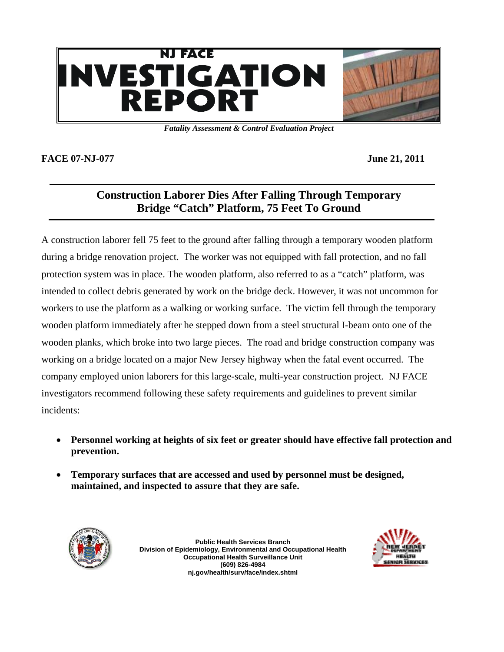

*Fatality Assessment & Control Evaluation Project* 

#### **FACE 07-NJ-077** June 21, 2011

# **Construction Laborer Dies After Falling Through Temporary Bridge "Catch" Platform, 75 Feet To Ground**

A construction laborer fell 75 feet to the ground after falling through a temporary wooden platform during a bridge renovation project. The worker was not equipped with fall protection, and no fall protection system was in place. The wooden platform, also referred to as a "catch" platform, was intended to collect debris generated by work on the bridge deck. However, it was not uncommon for workers to use the platform as a walking or working surface. The victim fell through the temporary wooden platform immediately after he stepped down from a steel structural I-beam onto one of the wooden planks, which broke into two large pieces. The road and bridge construction company was working on a bridge located on a major New Jersey highway when the fatal event occurred. The company employed union laborers for this large-scale, multi-year construction project. NJ FACE investigators recommend following these safety requirements and guidelines to prevent similar incidents:

- **Personnel working at heights of six feet or greater should have effective fall protection and prevention.**
- **Temporary surfaces that are accessed and used by personnel must be designed, maintained, and inspected to assure that they are safe.**



**Public Health Services Branch Division of Epidemiology, Environmental and Occupational Health Occupational Health Surveillance Unit (609) 826-4984 nj.gov/health/surv/face/index.shtml** 

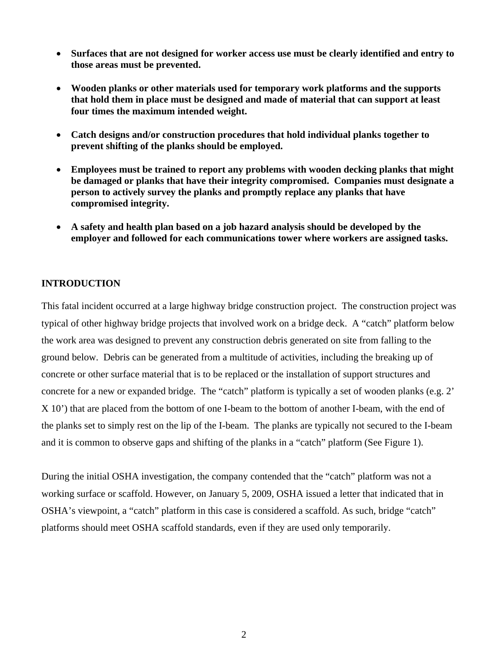- **Surfaces that are not designed for worker access use must be clearly identified and entry to those areas must be prevented.**
- **Wooden planks or other materials used for temporary work platforms and the supports that hold them in place must be designed and made of material that can support at least four times the maximum intended weight.**
- **Catch designs and/or construction procedures that hold individual planks together to prevent shifting of the planks should be employed.**
- **Employees must be trained to report any problems with wooden decking planks that might be damaged or planks that have their integrity compromised. Companies must designate a person to actively survey the planks and promptly replace any planks that have compromised integrity.**
- **A safety and health plan based on a job hazard analysis should be developed by the employer and followed for each communications tower where workers are assigned tasks.**

### **INTRODUCTION**

This fatal incident occurred at a large highway bridge construction project. The construction project was typical of other highway bridge projects that involved work on a bridge deck. A "catch" platform below the work area was designed to prevent any construction debris generated on site from falling to the ground below. Debris can be generated from a multitude of activities, including the breaking up of concrete or other surface material that is to be replaced or the installation of support structures and concrete for a new or expanded bridge. The "catch" platform is typically a set of wooden planks (e.g. 2' X 10') that are placed from the bottom of one I-beam to the bottom of another I-beam, with the end of the planks set to simply rest on the lip of the I-beam. The planks are typically not secured to the I-beam and it is common to observe gaps and shifting of the planks in a "catch" platform (See Figure 1).

During the initial OSHA investigation, the company contended that the "catch" platform was not a working surface or scaffold. However, on January 5, 2009, OSHA issued a letter that indicated that in OSHA's viewpoint, a "catch" platform in this case is considered a scaffold. As such, bridge "catch" platforms should meet OSHA scaffold standards, even if they are used only temporarily.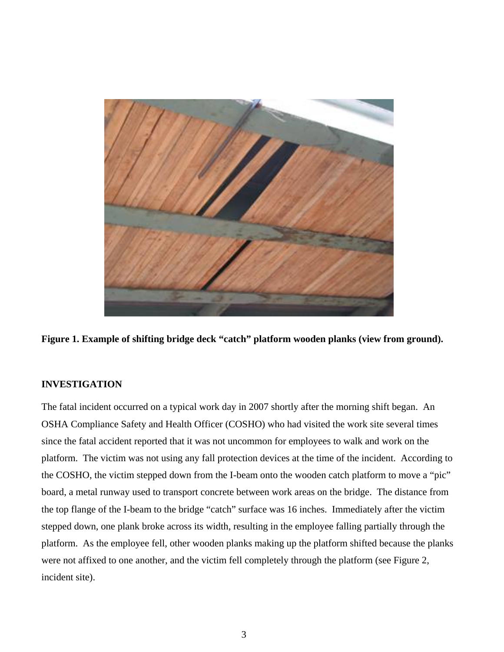

**Figure 1. Example of shifting bridge deck "catch" platform wooden planks (view from ground).** 

#### **INVESTIGATION**

The fatal incident occurred on a typical work day in 2007 shortly after the morning shift began. An OSHA Compliance Safety and Health Officer (COSHO) who had visited the work site several times since the fatal accident reported that it was not uncommon for employees to walk and work on the platform. The victim was not using any fall protection devices at the time of the incident. According to the COSHO, the victim stepped down from the I-beam onto the wooden catch platform to move a "pic" board, a metal runway used to transport concrete between work areas on the bridge. The distance from the top flange of the I-beam to the bridge "catch" surface was 16 inches. Immediately after the victim stepped down, one plank broke across its width, resulting in the employee falling partially through the platform. As the employee fell, other wooden planks making up the platform shifted because the planks were not affixed to one another, and the victim fell completely through the platform (see Figure 2, incident site).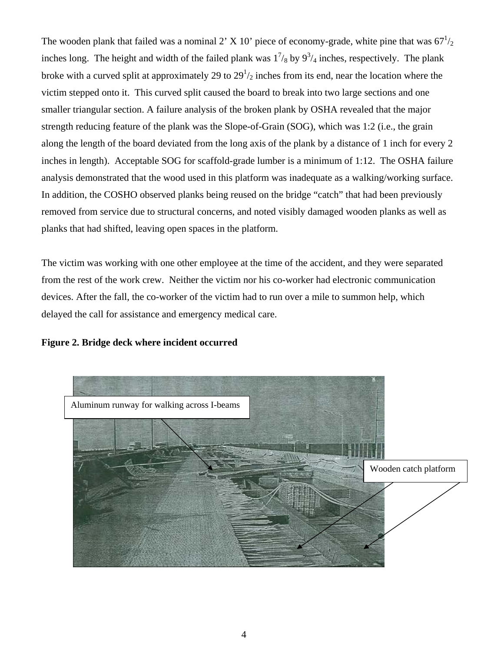The wooden plank that failed was a nominal 2' X 10' piece of economy-grade, white pine that was  $67\frac{1}{2}$ inches long. The height and width of the failed plank was  $1^{7}/_8$  by  $9^{3}/_4$  inches, respectively. The plank broke with a curved split at approximately 29 to  $29<sup>1</sup>/2$  inches from its end, near the location where the victim stepped onto it. This curved split caused the board to break into two large sections and one smaller triangular section. A failure analysis of the broken plank by OSHA revealed that the major strength reducing feature of the plank was the Slope-of-Grain (SOG), which was 1:2 (i.e., the grain along the length of the board deviated from the long axis of the plank by a distance of 1 inch for every 2 inches in length). Acceptable SOG for scaffold-grade lumber is a minimum of 1:12. The OSHA failure analysis demonstrated that the wood used in this platform was inadequate as a walking/working surface. In addition, the COSHO observed planks being reused on the bridge "catch" that had been previously removed from service due to structural concerns, and noted visibly damaged wooden planks as well as planks that had shifted, leaving open spaces in the platform.

The victim was working with one other employee at the time of the accident, and they were separated from the rest of the work crew. Neither the victim nor his co-worker had electronic communication devices. After the fall, the co-worker of the victim had to run over a mile to summon help, which delayed the call for assistance and emergency medical care.

### **Figure 2. Bridge deck where incident occurred**

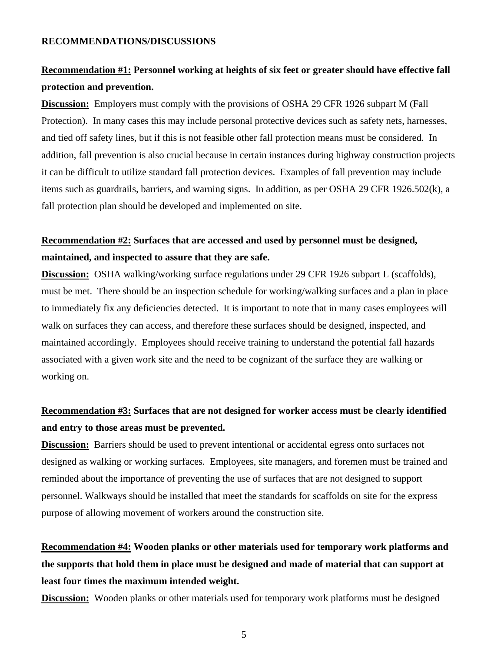# **Recommendation #1: Personnel working at heights of six feet or greater should have effective fall protection and prevention.**

**Discussion:** Employers must comply with the provisions of OSHA 29 CFR 1926 subpart M (Fall Protection). In many cases this may include personal protective devices such as safety nets, harnesses, and tied off safety lines, but if this is not feasible other fall protection means must be considered. In addition, fall prevention is also crucial because in certain instances during highway construction projects it can be difficult to utilize standard fall protection devices. Examples of fall prevention may include items such as guardrails, barriers, and warning signs. In addition, as per OSHA 29 CFR 1926.502(k), a fall protection plan should be developed and implemented on site.

# **Recommendation #2: Surfaces that are accessed and used by personnel must be designed, maintained, and inspected to assure that they are safe.**

**Discussion:** OSHA walking/working surface regulations under 29 CFR 1926 subpart L (scaffolds), must be met. There should be an inspection schedule for working/walking surfaces and a plan in place to immediately fix any deficiencies detected. It is important to note that in many cases employees will walk on surfaces they can access, and therefore these surfaces should be designed, inspected, and maintained accordingly. Employees should receive training to understand the potential fall hazards associated with a given work site and the need to be cognizant of the surface they are walking or working on.

# **Recommendation #3: Surfaces that are not designed for worker access must be clearly identified and entry to those areas must be prevented.**

**Discussion:** Barriers should be used to prevent intentional or accidental egress onto surfaces not designed as walking or working surfaces. Employees, site managers, and foremen must be trained and reminded about the importance of preventing the use of surfaces that are not designed to support personnel. Walkways should be installed that meet the standards for scaffolds on site for the express purpose of allowing movement of workers around the construction site.

# **Recommendation #4: Wooden planks or other materials used for temporary work platforms and the supports that hold them in place must be designed and made of material that can support at least four times the maximum intended weight.**

**Discussion:** Wooden planks or other materials used for temporary work platforms must be designed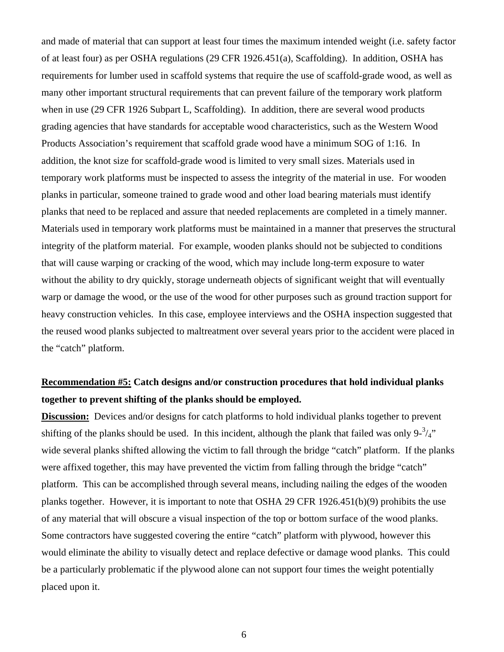and made of material that can support at least four times the maximum intended weight (i.e. safety factor of at least four) as per OSHA regulations (29 CFR 1926.451(a), Scaffolding). In addition, OSHA has requirements for lumber used in scaffold systems that require the use of scaffold-grade wood, as well as many other important structural requirements that can prevent failure of the temporary work platform when in use (29 CFR 1926 Subpart L, Scaffolding). In addition, there are several wood products grading agencies that have standards for acceptable wood characteristics, such as the Western Wood Products Association's requirement that scaffold grade wood have a minimum SOG of 1:16. In addition, the knot size for scaffold-grade wood is limited to very small sizes. Materials used in temporary work platforms must be inspected to assess the integrity of the material in use. For wooden planks in particular, someone trained to grade wood and other load bearing materials must identify planks that need to be replaced and assure that needed replacements are completed in a timely manner. Materials used in temporary work platforms must be maintained in a manner that preserves the structural integrity of the platform material. For example, wooden planks should not be subjected to conditions that will cause warping or cracking of the wood, which may include long-term exposure to water without the ability to dry quickly, storage underneath objects of significant weight that will eventually warp or damage the wood, or the use of the wood for other purposes such as ground traction support for heavy construction vehicles. In this case, employee interviews and the OSHA inspection suggested that the reused wood planks subjected to maltreatment over several years prior to the accident were placed in the "catch" platform.

# **Recommendation #5: Catch designs and/or construction procedures that hold individual planks together to prevent shifting of the planks should be employed.**

**Discussion:** Devices and/or designs for catch platforms to hold individual planks together to prevent shifting of the planks should be used. In this incident, although the plank that failed was only  $9\frac{3}{4}$ " wide several planks shifted allowing the victim to fall through the bridge "catch" platform. If the planks were affixed together, this may have prevented the victim from falling through the bridge "catch" platform. This can be accomplished through several means, including nailing the edges of the wooden planks together. However, it is important to note that OSHA 29 CFR 1926.451(b)(9) prohibits the use of any material that will obscure a visual inspection of the top or bottom surface of the wood planks. Some contractors have suggested covering the entire "catch" platform with plywood, however this would eliminate the ability to visually detect and replace defective or damage wood planks. This could be a particularly problematic if the plywood alone can not support four times the weight potentially placed upon it.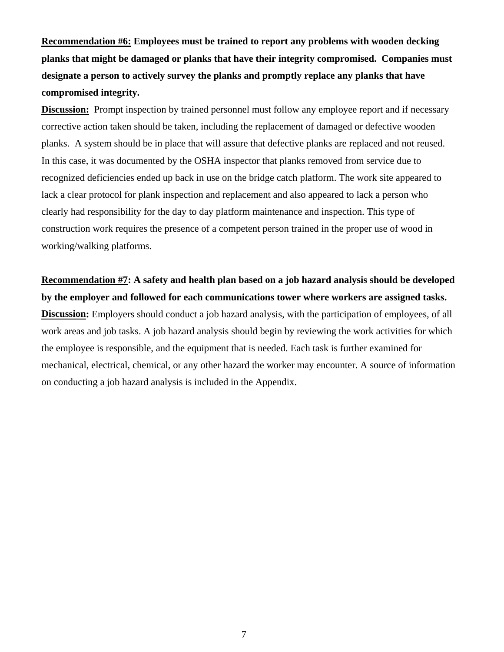**Recommendation #6: Employees must be trained to report any problems with wooden decking planks that might be damaged or planks that have their integrity compromised. Companies must designate a person to actively survey the planks and promptly replace any planks that have compromised integrity.** 

**Discussion:** Prompt inspection by trained personnel must follow any employee report and if necessary corrective action taken should be taken, including the replacement of damaged or defective wooden planks. A system should be in place that will assure that defective planks are replaced and not reused. In this case, it was documented by the OSHA inspector that planks removed from service due to recognized deficiencies ended up back in use on the bridge catch platform. The work site appeared to lack a clear protocol for plank inspection and replacement and also appeared to lack a person who clearly had responsibility for the day to day platform maintenance and inspection. This type of construction work requires the presence of a competent person trained in the proper use of wood in working/walking platforms.

**Recommendation #7: A safety and health plan based on a job hazard analysis should be developed by the employer and followed for each communications tower where workers are assigned tasks. Discussion:** Employers should conduct a job hazard analysis, with the participation of employees, of all work areas and job tasks. A job hazard analysis should begin by reviewing the work activities for which the employee is responsible, and the equipment that is needed. Each task is further examined for mechanical, electrical, chemical, or any other hazard the worker may encounter. A source of information on conducting a job hazard analysis is included in the Appendix.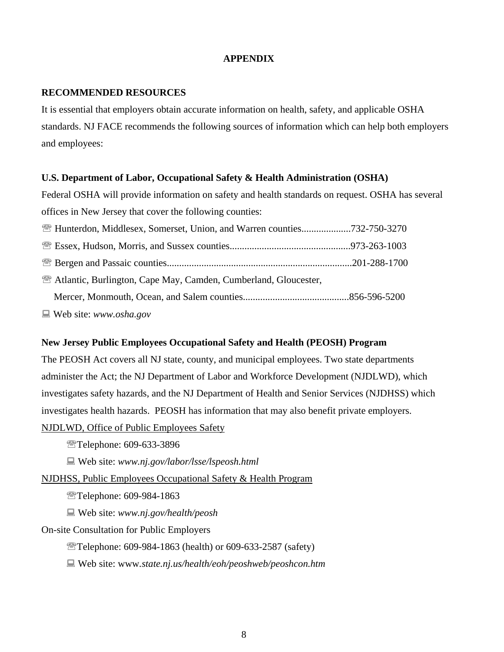#### **APPENDIX**

#### **RECOMMENDED RESOURCES**

It is essential that employers obtain accurate information on health, safety, and applicable OSHA standards. NJ FACE recommends the following sources of information which can help both employers and employees:

#### **U.S. Department of Labor, Occupational Safety & Health Administration (OSHA)**

Federal OSHA will provide information on safety and health standards on request. OSHA has several offices in New Jersey that cover the following counties:

| <b>EXAMPLE Hunterdon, Middlesex, Somerset, Union, and Warren counties732-750-3270</b> |  |
|---------------------------------------------------------------------------------------|--|
|                                                                                       |  |
|                                                                                       |  |
| <b>Example 2.1</b> Atlantic, Burlington, Cape May, Camden, Cumberland, Gloucester,    |  |
|                                                                                       |  |
| $\Box$ Web site: www.osha.gov                                                         |  |

#### **New Jersey Public Employees Occupational Safety and Health (PEOSH) Program**

The PEOSH Act covers all NJ state, county, and municipal employees. Two state departments administer the Act; the NJ Department of Labor and Workforce Development (NJDLWD), which investigates safety hazards, and the NJ Department of Health and Senior Services (NJDHSS) which investigates health hazards. PEOSH has information that may also benefit private employers.

NJDLWD, Office of Public Employees Safety

<sup></sup> Telephone: 609-633-3896

Web site: *www.nj.gov/labor/lsse/lspeosh.html* 

#### NJDHSS, Public Employees Occupational Safety & Health Program

Telephone: 609-984-1863

Web site: *www.nj.gov/health/peosh* 

On-site Consultation for Public Employers

℡Telephone: 609-984-1863 (health) or 609-633-2587 (safety)

Web site: www*.state.nj.us/health/eoh/peoshweb/peoshcon.htm*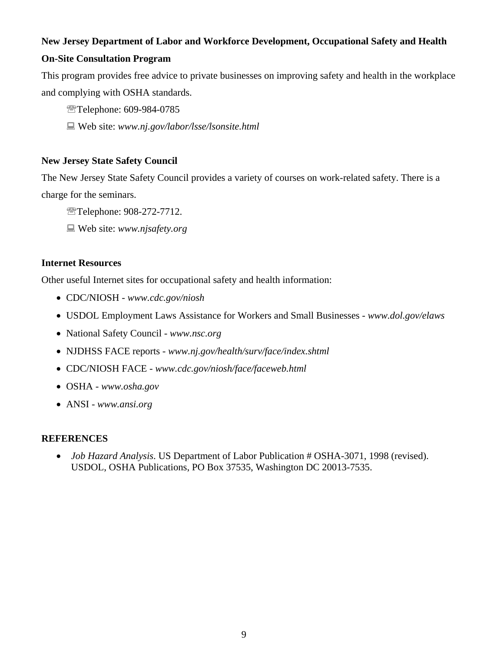### **New Jersey Department of Labor and Workforce Development, Occupational Safety and Health**

### **On-Site Consultation Program**

This program provides free advice to private businesses on improving safety and health in the workplace and complying with OSHA standards.

<sup>2</sup> Telephone: 609-984-0785

Web site: *www.nj.gov/labor/lsse/lsonsite.html*

#### **New Jersey State Safety Council**

The New Jersey State Safety Council provides a variety of courses on work-related safety. There is a charge for the seminars.

<sup>2</sup> Telephone: 908-272-7712.

Web site: *www.njsafety.org*

#### **Internet Resources**

Other useful Internet sites for occupational safety and health information:

- CDC/NIOSH - *www.cdc.gov/niosh*
- USDOL Employment Laws Assistance for Workers and Small Businesses *www.dol.gov/elaws*
- National Safety Council *www.nsc.org*
- NJDHSS FACE reports *www.nj.gov/health/surv/face/index.shtml*
- CDC/NIOSH FACE - *www.cdc.gov/niosh/face/faceweb.html*
- OSHA *www.osha.gov*
- ANSI *www.ansi.org*

#### **REFERENCES**

• *Job Hazard Analysis*. US Department of Labor Publication # OSHA-3071, 1998 (revised). USDOL, OSHA Publications, PO Box 37535, Washington DC 20013-7535.